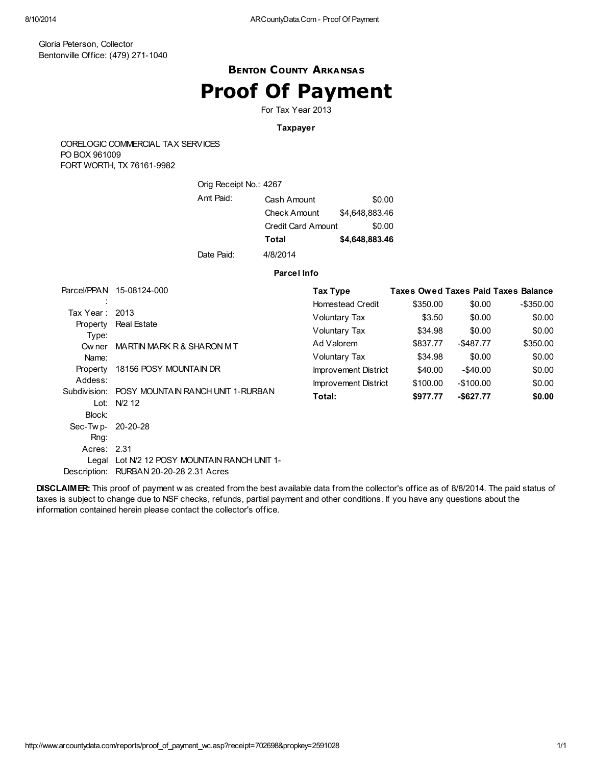### BENTON COUNTY ARKANSAS Proof Of Payment

For Tax Year 2013

#### Taxpayer

CORELOGIC COMMERCIAL TAX SERVICES PO BOX 961009 FORT WORTH, TX 76161-9982

| Orig Receipt No.: 4267 |                     |                |
|------------------------|---------------------|----------------|
| Amt Paid:              | Cash Amount         | \$0.00         |
|                        | <b>Check Amount</b> | \$4.648.883.46 |
|                        | Credit Card Amount  | \$0.00         |
|                        | Total               | \$4,648,883.46 |
| Date Paid:             | 4/8/2014            |                |

#### Parcel Info

|                    | Parcel/PPAN 15-08124-000                     | Tax Type                |          |              | <b>Taxes Owed Taxes Paid Taxes Balance</b> |
|--------------------|----------------------------------------------|-------------------------|----------|--------------|--------------------------------------------|
|                    |                                              | <b>Homestead Credit</b> | \$350.00 | \$0.00       | $-$ \$350.00                               |
| Tax Year: 2013     |                                              | Voluntary Tax           | \$3.50   | \$0.00       | \$0.00                                     |
| Property<br>Type:  | <b>Real Estate</b>                           | Voluntary Tax           | \$34.98  | \$0.00       | \$0.00                                     |
| Ow ner             | MARTIN MARK R & SHARON M T                   | Ad Valorem              | \$837.77 | -\$487.77    | \$350.00                                   |
| Name:              |                                              | Voluntary Tax           | \$34.98  | \$0.00       | \$0.00                                     |
| Property           | 18156 POSY MOUNTAIN DR                       | Improvement District    | \$40.00  | -\$40.00     | \$0.00                                     |
| Addess:            |                                              | Improvement District    | \$100.00 | $-$100.00$   | \$0.00                                     |
| Subdivision:       | POSY MOUNTAIN RANCH UNIT 1-RURBAN            | Total:                  | \$977.77 | $-$ \$627.77 | \$0.00                                     |
|                    | Lot: N/2 12                                  |                         |          |              |                                            |
| Block:             |                                              |                         |          |              |                                            |
| Sec-Tw p- 20-20-28 |                                              |                         |          |              |                                            |
| Rng:               |                                              |                         |          |              |                                            |
| Acres: 2.31        |                                              |                         |          |              |                                            |
|                    | Legal Lot N/2 12 POSY MOUNTAIN RANCH UNIT 1- |                         |          |              |                                            |
|                    | Description: RURBAN 20-20-28 2.31 Acres      |                         |          |              |                                            |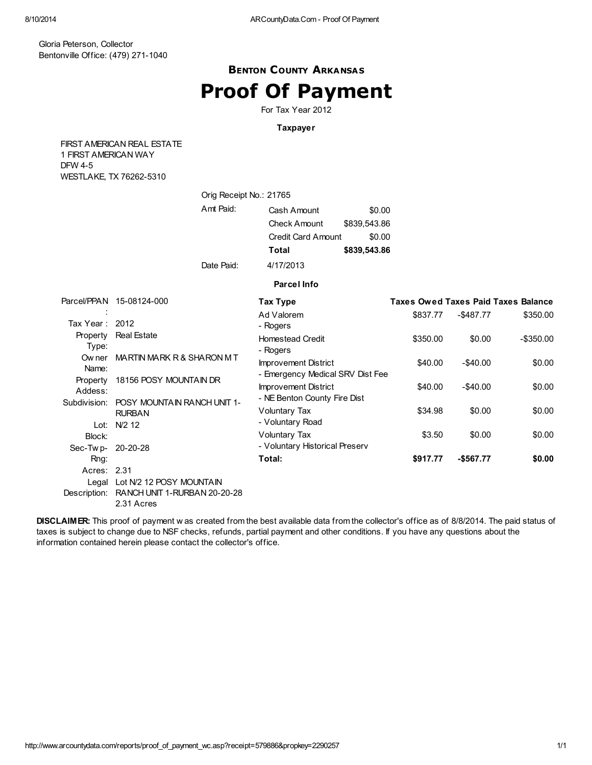## BENTON COUNTY ARKANSAS Proof Of Payment

For Tax Year 2012

### Taxpayer

FIRST AMERICAN REAL ESTATE 1 FIRST AMERICAN WAY DFW 4-5 WESTLAKE, TX 76262-5310

|                             | Orig Receipt No.: 21765                                                      |                                                                          |                                                  |          |              |                                            |
|-----------------------------|------------------------------------------------------------------------------|--------------------------------------------------------------------------|--------------------------------------------------|----------|--------------|--------------------------------------------|
|                             | Amt Paid:                                                                    | Cash Amount<br><b>Check Amount</b><br>Credit Card Amount<br><b>Total</b> | \$0.00<br>\$839,543.86<br>\$0.00<br>\$839,543.86 |          |              |                                            |
|                             | Date Paid:                                                                   | 4/17/2013                                                                |                                                  |          |              |                                            |
|                             |                                                                              | <b>Parcel Info</b>                                                       |                                                  |          |              |                                            |
|                             | Parcel/PPAN 15-08124-000                                                     | <b>Tax Type</b>                                                          |                                                  |          |              | <b>Taxes Owed Taxes Paid Taxes Balance</b> |
| Tax Year:                   | 2012                                                                         | Ad Valorem<br>- Rogers                                                   |                                                  | \$837.77 | $-$ \$487.77 | \$350.00                                   |
| Property<br>Type:           | <b>Real Estate</b>                                                           | <b>Homestead Credit</b><br>- Rogers                                      |                                                  | \$350.00 | \$0.00       | $-$ \$350.00                               |
| Ow ner<br>Name:             | MARTIN MARK R & SHARON M T                                                   | <b>Improvement District</b><br>- Emergency Medical SRV Dist Fee          |                                                  | \$40.00  | $-$40.00$    | \$0.00                                     |
| Property<br>Addess:         | 18156 POSY MOUNTAIN DR                                                       | <b>Improvement District</b><br>- NE Benton County Fire Dist              |                                                  | \$40.00  | $-$ \$40.00  | \$0.00                                     |
|                             | Subdivision: POSY MOUNTAIN RANCH UNIT 1-<br><b>RURBAN</b>                    | Voluntary Tax<br>- Voluntary Road                                        |                                                  | \$34.98  | \$0.00       | \$0.00                                     |
| Block:                      | Lot: N/2 12                                                                  | Voluntary Tax<br>- Voluntary Historical Preserv                          |                                                  | \$3.50   | \$0.00       | \$0.00                                     |
| Sec-Twp- 20-20-28<br>Rng:   |                                                                              | Total:                                                                   |                                                  | \$917.77 | $-$567.77$   | \$0.00                                     |
| Acres: 2.31<br>Description: | Legal Lot N/2 12 POSY MOUNTAIN<br>RANCH UNIT 1-RURBAN 20-20-28<br>2.31 Acres |                                                                          |                                                  |          |              |                                            |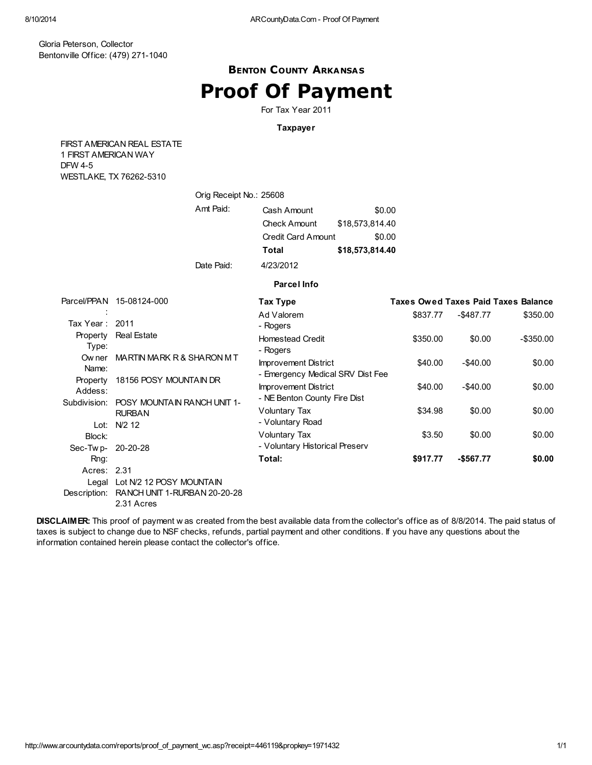## BENTON COUNTY ARKANSAS Proof Of Payment

For Tax Year 2011

### Taxpayer

FIRST AMERICAN REAL ESTATE 1 FIRST AMERICAN WAY DFW 4-5 WESTLAKE, TX 76262-5310

|                | Orig Receipt No.: 25608                             |                                  |                 |          |              |                                            |
|----------------|-----------------------------------------------------|----------------------------------|-----------------|----------|--------------|--------------------------------------------|
|                | Amt Paid:                                           | Cash Amount                      | \$0.00          |          |              |                                            |
|                |                                                     | <b>Check Amount</b>              | \$18,573,814.40 |          |              |                                            |
|                |                                                     | <b>Credit Card Amount</b>        | \$0.00          |          |              |                                            |
|                |                                                     | Total                            | \$18,573,814.40 |          |              |                                            |
|                | Date Paid:                                          | 4/23/2012                        |                 |          |              |                                            |
|                |                                                     | <b>Parcel Info</b>               |                 |          |              |                                            |
|                | Parcel/PPAN 15-08124-000                            | Tax Type                         |                 |          |              | <b>Taxes Owed Taxes Paid Taxes Balance</b> |
|                |                                                     | Ad Valorem                       |                 | \$837.77 | $-$ \$487.77 | \$350.00                                   |
| Tax Year: 2011 |                                                     | - Rogers                         |                 |          |              |                                            |
| Property       | <b>Real Estate</b>                                  | <b>Homestead Credit</b>          |                 | \$350.00 | \$0.00       | $-$ \$350.00                               |
| Type:          |                                                     | - Rogers                         |                 |          |              |                                            |
| Ow ner         | MARTIN MARK R & SHARON M T                          | <b>Improvement District</b>      |                 | \$40.00  | $-$40.00$    | \$0.00                                     |
| Name:          |                                                     | - Emergency Medical SRV Dist Fee |                 |          |              |                                            |
| Property       | 18156 POSY MOUNTAIN DR                              | <b>Improvement District</b>      |                 | \$40.00  | $-$ \$40.00  | \$0.00                                     |
| Addess:        |                                                     | - NE Benton County Fire Dist     |                 |          |              |                                            |
| Subdivision:   | <b>POSY MOUNTAIN RANCH UNIT 1-</b><br><b>RURBAN</b> | <b>Voluntary Tax</b>             |                 | \$34.98  | \$0.00       | \$0.00                                     |
| Lot:           | N/2 12                                              | - Voluntary Road                 |                 |          |              |                                            |
| Block:         |                                                     | Voluntary Tax                    |                 | \$3.50   | \$0.00       | \$0.00                                     |
| Sec-Twp-       | 20-20-28                                            | - Voluntary Historical Preserv   |                 |          |              |                                            |
| Rng:           |                                                     | Total:                           |                 | \$917.77 | $-$567.77$   | \$0.00                                     |
| Acres: 2.31    |                                                     |                                  |                 |          |              |                                            |
|                | Legal Lot N/2 12 POSY MOUNTAIN                      |                                  |                 |          |              |                                            |
|                |                                                     |                                  |                 |          |              |                                            |

Description: RANCH UNIT 1-RURBAN 20-20-28 2.31 Acres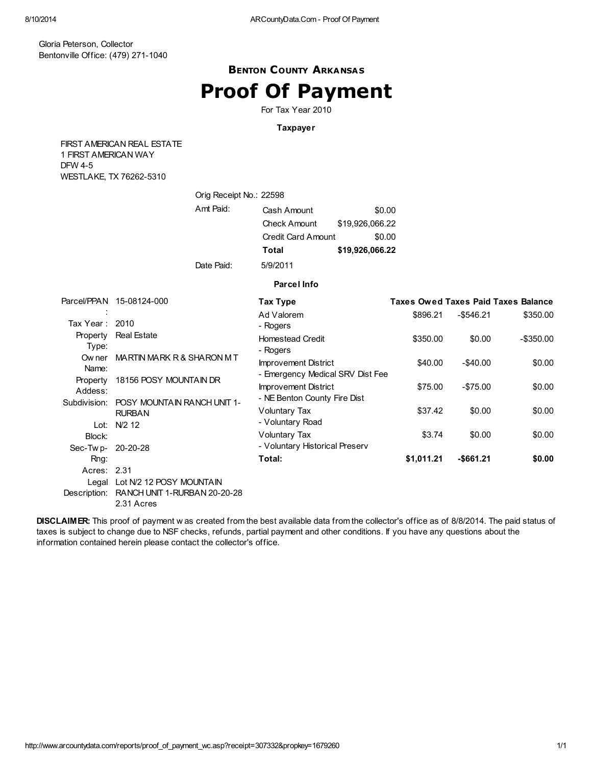## BENTON COUNTY ARKANSAS Proof Of Payment

For Tax Year 2010

### Taxpayer

FIRST AMERICAN REAL ESTATE 1 FIRST AMERICAN WAY DFW 4-5 WESTLAKE, TX 76262-5310

|                     | Orig Receipt No.: 22598     |                                     |                 |            |              |                                            |
|---------------------|-----------------------------|-------------------------------------|-----------------|------------|--------------|--------------------------------------------|
|                     | Amt Paid:                   | Cash Amount                         | \$0.00          |            |              |                                            |
|                     |                             | <b>Check Amount</b>                 | \$19,926,066.22 |            |              |                                            |
|                     |                             | <b>Credit Card Amount</b>           | \$0.00          |            |              |                                            |
|                     |                             | Total                               | \$19,926,066.22 |            |              |                                            |
|                     | Date Paid:                  | 5/9/2011                            |                 |            |              |                                            |
|                     |                             | <b>Parcel Info</b>                  |                 |            |              |                                            |
|                     | Parcel/PPAN 15-08124-000    | Tax Type                            |                 |            |              | <b>Taxes Owed Taxes Paid Taxes Balance</b> |
|                     |                             | Ad Valorem                          |                 | \$896.21   | $-$ \$546.21 | \$350.00                                   |
| Tax Year :          | 2010                        | - Rogers                            |                 |            |              |                                            |
| Property<br>Type:   | <b>Real Estate</b>          | <b>Homestead Credit</b><br>- Rogers |                 | \$350.00   | \$0.00       | $-$ \$350.00                               |
| Ow ner              | MARTIN MARK R & SHARON M T  | <b>Improvement District</b>         |                 | \$40.00    | $-$ \$40.00  | \$0.00                                     |
| Name:               |                             | - Emergency Medical SRV Dist Fee    |                 |            |              |                                            |
| Property<br>Addess: | 18156 POSY MOUNTAIN DR      | <b>Improvement District</b>         |                 | \$75.00    | $-$75.00$    | \$0.00                                     |
| Subdivision:        | POSY MOUNTAIN RANCH UNIT 1- | - NE Benton County Fire Dist        |                 |            |              |                                            |
|                     | <b>RURBAN</b>               | Voluntary Tax                       |                 | \$37.42    | \$0.00       | \$0.00                                     |
| Lot:                | N/2 12                      | - Voluntary Road                    |                 |            |              |                                            |
| Block:              |                             | Voluntary Tax                       |                 | \$3.74     | \$0.00       | \$0.00                                     |
| Sec-Tw p- 20-20-28  |                             | - Voluntary Historical Preserv      |                 |            |              |                                            |
| Rng:                |                             | Total:                              |                 | \$1,011.21 | $-$ \$661.21 | \$0.00                                     |

Acres: 2.31 Legal Lot N/2 12 POSY MOUNTAIN Description: RANCH UNIT 1-RURBAN 20-20-28 2.31 Acres

DISCLAIMER: This proof of payment w as created from the best available data from the collector's office as of 8/8/2014. The paid status of taxes is subject to change due to NSF checks, refunds, partial payment and other conditions. If you have any questions about the information contained herein please contact the collector's office.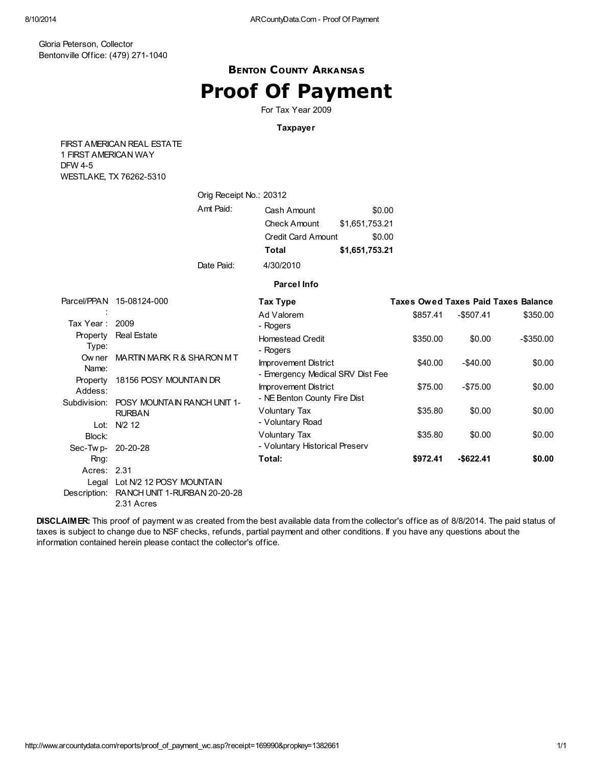### BENTON COUNTY ARKANSAS Proof Of Payment

For Tax Year 2009

### Taxpayer

FIRST AMERICAN REAL ESTATE 1 FIRST AMERICAN WAY DFW 4-5 WESTLAKE, TX 76262-5310

|                     | Orig Receipt No.: 20312                                                      |                                                                     |                                    |          |             |                                            |
|---------------------|------------------------------------------------------------------------------|---------------------------------------------------------------------|------------------------------------|----------|-------------|--------------------------------------------|
|                     | Amt Paid:                                                                    | Cash Amount<br><b>Check Amount</b><br><b>Credit Card Amount</b>     | \$0.00<br>\$1,651,753.21<br>\$0.00 |          |             |                                            |
|                     |                                                                              | <b>Total</b>                                                        | \$1,651,753.21                     |          |             |                                            |
|                     | Date Paid:                                                                   | 4/30/2010                                                           |                                    |          |             |                                            |
|                     |                                                                              | <b>Parcel Info</b>                                                  |                                    |          |             |                                            |
|                     | Parcel/PPAN 15-08124-000                                                     | Tax Type                                                            |                                    |          |             | <b>Taxes Owed Taxes Paid Taxes Balance</b> |
| Tax Year :          | 2009                                                                         | Ad Valorem<br>- Rogers                                              |                                    | \$857.41 | $-$507.41$  | \$350.00                                   |
| Property<br>Type:   | <b>Real Estate</b>                                                           | <b>Homestead Credit</b><br>- Rogers                                 |                                    | \$350.00 | \$0.00      | $-$ \$350.00                               |
| Ow ner<br>Name:     | MARTIN MARK R & SHARON M T                                                   | <b>Improvement District</b><br>- Emergency Medical SRV Dist Fee     |                                    | \$40.00  | $-$40.00$   | \$0.00                                     |
| Property<br>Addess: | 18156 POSY MOUNTAIN DR                                                       | <b>Improvement District</b><br>- NE Benton County Fire Dist         |                                    | \$75.00  | $-$ \$75.00 | \$0.00                                     |
| Subdivision:        | <b>POSY MOUNTAIN RANCH UNIT 1-</b><br><b>RURBAN</b>                          | Voluntary Tax                                                       |                                    | \$35.80  | \$0.00      | \$0.00                                     |
| Block:              | Lot: N/2 12                                                                  | - Voluntary Road<br>Voluntary Tax<br>- Voluntary Historical Preserv |                                    | \$35.80  | \$0.00      | \$0.00                                     |
| Sec-Twp-<br>Rng:    | 20-20-28                                                                     | Total:                                                              |                                    | \$972.41 | $-$622.41$  | \$0.00                                     |
| Acres: 2.31         |                                                                              |                                                                     |                                    |          |             |                                            |
| Description:        | Legal Lot N/2 12 POSY MOUNTAIN<br>RANCH UNIT 1-RURBAN 20-20-28<br>2.31 Acres |                                                                     |                                    |          |             |                                            |